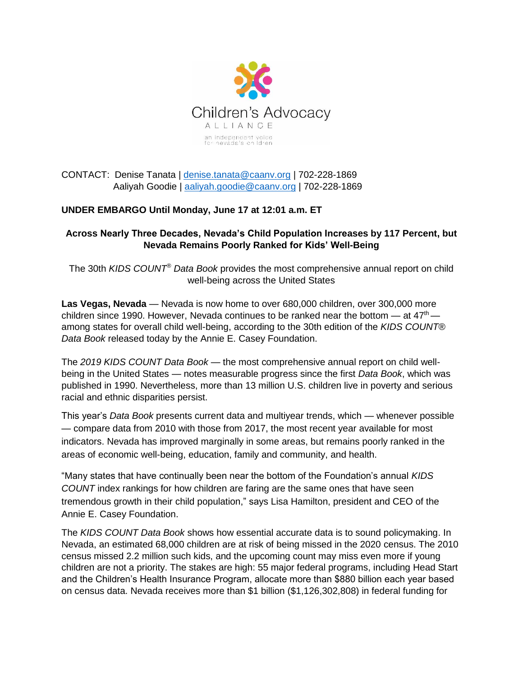

CONTACT: Denise Tanata | [denise.tanata@caanv.org](mailto:denise.tanata@caanv.org) | 702-228-1869 Aaliyah Goodie | [aaliyah.goodie@caanv.org](mailto:maggie.salascrespo@caanv.org) | 702-228-1869

# **UNDER EMBARGO Until Monday, June 17 at 12:01 a.m. ET**

## **Across Nearly Three Decades, Nevada's Child Population Increases by 117 Percent, but Nevada Remains Poorly Ranked for Kids' Well-Being**

The 30th *KIDS COUNT® Data Book* provides the most comprehensive annual report on child well-being across the United States

**Las Vegas, Nevada** — Nevada is now home to over 680,000 children, over 300,000 more children since 1990. However, Nevada continues to be ranked near the bottom  $-$  at  $47<sup>th</sup>$ among states for overall child well-being, according to the 30th edition of the *KIDS COUNT® Data Book* released today by the Annie E. Casey Foundation.

The *2019 KIDS COUNT Data Book* — the most comprehensive annual report on child wellbeing in the United States — notes measurable progress since the first *Data Book*, which was published in 1990. Nevertheless, more than 13 million U.S. children live in poverty and serious racial and ethnic disparities persist.

This year's *Data Book* presents current data and multiyear trends, which — whenever possible — compare data from 2010 with those from 2017, the most recent year available for most indicators. Nevada has improved marginally in some areas, but remains poorly ranked in the areas of economic well-being, education, family and community, and health.

"Many states that have continually been near the bottom of the Foundation's annual *KIDS COUNT* index rankings for how children are faring are the same ones that have seen tremendous growth in their child population," says Lisa Hamilton, president and CEO of the Annie E. Casey Foundation.

The *KIDS COUNT Data Book* shows how essential accurate data is to sound policymaking. In Nevada, an estimated 68,000 children are at risk of being missed in the 2020 census. The 2010 census missed 2.2 million such kids, and the upcoming count may miss even more if young children are not a priority. The stakes are high: 55 major federal programs, including Head Start and the Children's Health Insurance Program, allocate more than \$880 billion each year based on census data. Nevada receives more than \$1 billion (\$1,126,302,808) in federal funding for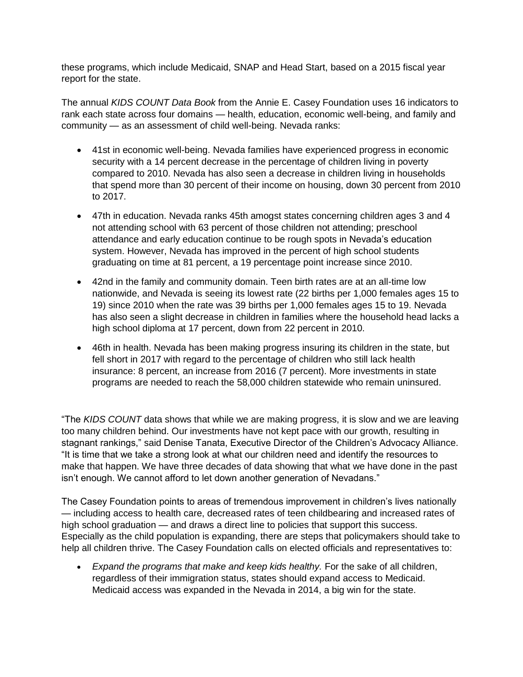these programs, which include Medicaid, SNAP and Head Start, based on a 2015 fiscal year report for the state.

The annual *KIDS COUNT Data Book* from the Annie E. Casey Foundation uses 16 indicators to rank each state across four domains — health, education, economic well-being, and family and community — as an assessment of child well-being. Nevada ranks:

- 41st in economic well-being. Nevada families have experienced progress in economic security with a 14 percent decrease in the percentage of children living in poverty compared to 2010. Nevada has also seen a decrease in children living in households that spend more than 30 percent of their income on housing, down 30 percent from 2010 to 2017.
- 47th in education. Nevada ranks 45th amogst states concerning children ages 3 and 4 not attending school with 63 percent of those children not attending; preschool attendance and early education continue to be rough spots in Nevada's education system. However, Nevada has improved in the percent of high school students graduating on time at 81 percent, a 19 percentage point increase since 2010.
- 42nd in the family and community domain. Teen birth rates are at an all-time low nationwide, and Nevada is seeing its lowest rate (22 births per 1,000 females ages 15 to 19) since 2010 when the rate was 39 births per 1,000 females ages 15 to 19. Nevada has also seen a slight decrease in children in families where the household head lacks a high school diploma at 17 percent, down from 22 percent in 2010.
- 46th in health. Nevada has been making progress insuring its children in the state, but fell short in 2017 with regard to the percentage of children who still lack health insurance: 8 percent, an increase from 2016 (7 percent). More investments in state programs are needed to reach the 58,000 children statewide who remain uninsured.

"The *KIDS COUNT* data shows that while we are making progress, it is slow and we are leaving too many children behind. Our investments have not kept pace with our growth, resulting in stagnant rankings," said Denise Tanata, Executive Director of the Children's Advocacy Alliance. "It is time that we take a strong look at what our children need and identify the resources to make that happen. We have three decades of data showing that what we have done in the past isn't enough. We cannot afford to let down another generation of Nevadans."

The Casey Foundation points to areas of tremendous improvement in children's lives nationally — including access to health care, decreased rates of teen childbearing and increased rates of high school graduation — and draws a direct line to policies that support this success. Especially as the child population is expanding, there are steps that policymakers should take to help all children thrive. The Casey Foundation calls on elected officials and representatives to:

• *Expand the programs that make and keep kids healthy.* For the sake of all children, regardless of their immigration status, states should expand access to Medicaid. Medicaid access was expanded in the Nevada in 2014, a big win for the state.